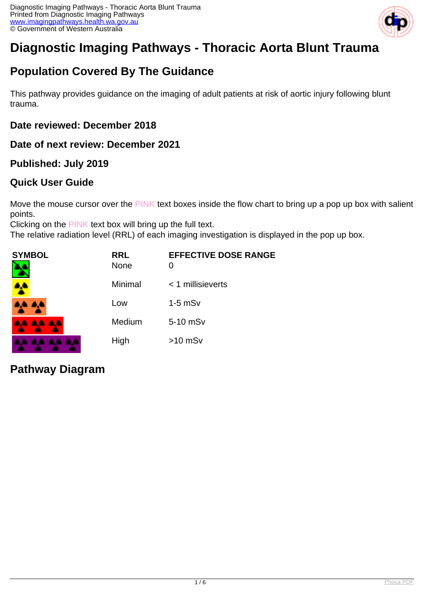

# **Diagnostic Imaging Pathways - Thoracic Aorta Blunt Trauma**

# **Population Covered By The Guidance**

This pathway provides guidance on the imaging of adult patients at risk of aortic injury following blunt trauma.

## **Date reviewed: December 2018**

**Date of next review: December 2021**

## **Published: July 2019**

## **Quick User Guide**

Move the mouse cursor over the PINK text boxes inside the flow chart to bring up a pop up box with salient points.

Clicking on the PINK text box will bring up the full text.

The relative radiation level (RRL) of each imaging investigation is displayed in the pop up box.

| SYMBOL   | <b>RRL</b><br>None | <b>EFFECTIVE DOSE RANGE</b> |
|----------|--------------------|-----------------------------|
|          | Minimal            | $<$ 1 millisieverts         |
| 4.4.4.4  | Low                | $1-5$ mS $v$                |
| AA AA AA | Medium             | 5-10 mSv                    |
|          | High               | $>10$ mSv                   |

## **Pathway Diagram**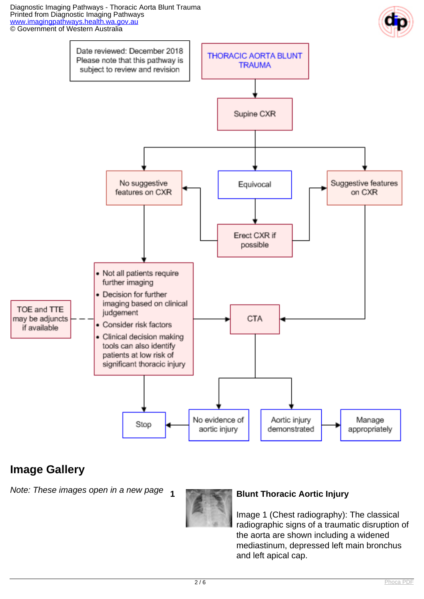Diagnostic Imaging Pathways - Thoracic Aorta Blunt Trauma Printed from Diagnostic Imaging Pathways [www.imagingpathways.health.wa.gov.au](http://www.imagingpathways.health.wa.gov.au/) © Government of Western Australia





# **Image Gallery**

Note: These images open in a new page **<sup>1</sup> Blunt Thoracic Aortic Injury** 



Image 1 (Chest radiography): The classical radiographic signs of a traumatic disruption of the aorta are shown including a widened mediastinum, depressed left main bronchus and left apical cap.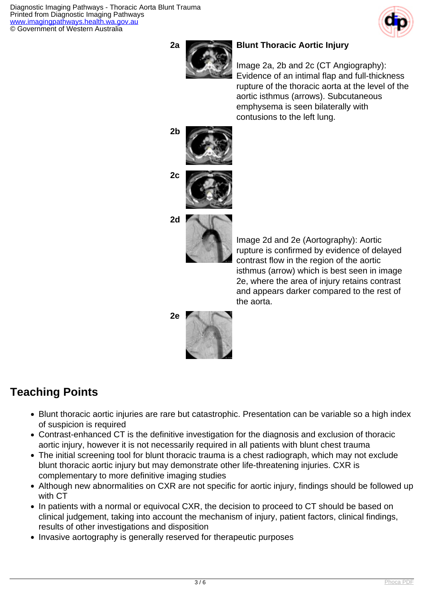Diagnostic Imaging Pathways - Thoracic Aorta Blunt Trauma Printed from Diagnostic Imaging Pathways [www.imagingpathways.health.wa.gov.au](http://www.imagingpathways.health.wa.gov.au/) © Government of Western Australia





### **2a Blunt Thoracic Aortic Injury**

Image 2a, 2b and 2c (CT Angiography): Evidence of an intimal flap and full-thickness rupture of the thoracic aorta at the level of the aortic isthmus (arrows). Subcutaneous emphysema is seen bilaterally with contusions to the left lung.







Image 2d and 2e (Aortography): Aortic rupture is confirmed by evidence of delayed contrast flow in the region of the aortic isthmus (arrow) which is best seen in image 2e, where the area of injury retains contrast and appears darker compared to the rest of the aorta.



# **Teaching Points**

- Blunt thoracic aortic injuries are rare but catastrophic. Presentation can be variable so a high index of suspicion is required
- Contrast-enhanced CT is the definitive investigation for the diagnosis and exclusion of thoracic aortic injury, however it is not necessarily required in all patients with blunt chest trauma
- The initial screening tool for blunt thoracic trauma is a chest radiograph, which may not exclude blunt thoracic aortic injury but may demonstrate other life-threatening injuries. CXR is complementary to more definitive imaging studies
- Although new abnormalities on CXR are not specific for aortic injury, findings should be followed up with CT
- In patients with a normal or equivocal CXR, the decision to proceed to CT should be based on clinical judgement, taking into account the mechanism of injury, patient factors, clinical findings, results of other investigations and disposition
- Invasive aortography is generally reserved for therapeutic purposes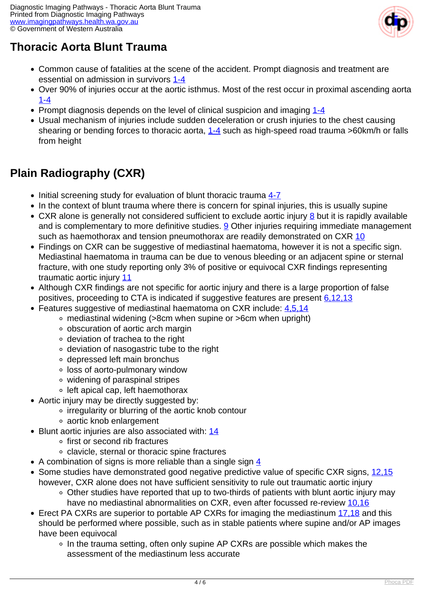

# **Thoracic Aorta Blunt Trauma**

- Common cause of fatalities at the scene of the accident. Prompt diagnosis and treatment are essential on admission in survivors [1-4](index.php/imaging-pathways/musculoskeletal-trauma/trauma/blunt-traumatic-injury-of-thoracic-aorta?tab=references#1)
- Over 90% of injuries occur at the aortic isthmus. Most of the rest occur in proximal ascending aorta [1-4](index.php/imaging-pathways/musculoskeletal-trauma/trauma/blunt-traumatic-injury-of-thoracic-aorta?tab=references#1)
- Prompt diagnosis depends on the level of clinical suspicion and imaging [1-4](index.php/imaging-pathways/musculoskeletal-trauma/trauma/blunt-traumatic-injury-of-thoracic-aorta?tab=references#1)
- Usual mechanism of injuries include sudden deceleration or crush injuries to the chest causing shearing or bending forces to thoracic aorta, [1-4](index.php/imaging-pathways/musculoskeletal-trauma/trauma/blunt-traumatic-injury-of-thoracic-aorta?tab=references#1) such as high-speed road trauma >60km/h or falls from height

# **Plain Radiography (CXR)**

- Initial screening study for evaluation of blunt thoracic trauma [4-7](index.php/imaging-pathways/musculoskeletal-trauma/trauma/blunt-traumatic-injury-of-thoracic-aorta?tab=references#4)
- In the context of blunt trauma where there is concern for spinal injuries, this is usually supine
- CXR alone is generally not considered sufficient to exclude aortic injury [8](index.php/imaging-pathways/musculoskeletal-trauma/trauma/blunt-traumatic-injury-of-thoracic-aorta?tab=references#8) but it is rapidly available and is complementary to more definitive studies.  $9$  Other injuries requiring immediate management such as haemothorax and tension pneumothorax are readily demonstrated on CXR [10](index.php/imaging-pathways/musculoskeletal-trauma/trauma/blunt-traumatic-injury-of-thoracic-aorta?tab=references#10)
- Findings on CXR can be suggestive of mediastinal haematoma, however it is not a specific sign. Mediastinal haematoma in trauma can be due to venous bleeding or an adjacent spine or sternal fracture, with one study reporting only 3% of positive or equivocal CXR findings representing traumatic aortic injury [11](index.php/imaging-pathways/musculoskeletal-trauma/trauma/blunt-traumatic-injury-of-thoracic-aorta?tab=references#11)
- Although CXR findings are not specific for aortic injury and there is a large proportion of false positives, proceeding to CTA is indicated if suggestive features are present [6,12,13](index.php/imaging-pathways/musculoskeletal-trauma/trauma/blunt-traumatic-injury-of-thoracic-aorta?tab=references#6)
- Features suggestive of mediastinal haematoma on CXR include: 4.5.14
	- mediastinal widening (>8cm when supine or >6cm when upright)
	- obscuration of aortic arch margin
	- deviation of trachea to the right
	- deviation of nasogastric tube to the right
	- depressed left main bronchus
	- loss of aorto-pulmonary window
	- widening of paraspinal stripes
	- left apical cap, left haemothorax
- Aortic injury may be directly suggested by:
	- irregularity or blurring of the aortic knob contour
	- aortic knob enlargement
- Blunt aortic injuries are also associated with: [14](index.php/imaging-pathways/musculoskeletal-trauma/trauma/blunt-traumatic-injury-of-thoracic-aorta?tab=references#14)
	- first or second rib fractures
	- clavicle, sternal or thoracic spine fractures
- A combination of signs is more reliable than a single sign  $\frac{4}{3}$  $\frac{4}{3}$  $\frac{4}{3}$
- Some studies have demonstrated good negative predictive value of specific CXR signs, [12,15](index.php/imaging-pathways/musculoskeletal-trauma/trauma/blunt-traumatic-injury-of-thoracic-aorta?tab=references#12) however, CXR alone does not have sufficient sensitivity to rule out traumatic aortic injury
	- Other studies have reported that up to two-thirds of patients with blunt aortic injury may have no mediastinal abnormalities on CXR, even after focussed re-review [10,16](index.php/imaging-pathways/musculoskeletal-trauma/trauma/blunt-traumatic-injury-of-thoracic-aorta?tab=references#10)
- Erect PA CXRs are superior to portable AP CXRs for imaging the mediastinum [17,18](index.php/imaging-pathways/musculoskeletal-trauma/trauma/blunt-traumatic-injury-of-thoracic-aorta?tab=references#17) and this should be performed where possible, such as in stable patients where supine and/or AP images have been equivocal
	- In the trauma setting, often only supine AP CXRs are possible which makes the assessment of the mediastinum less accurate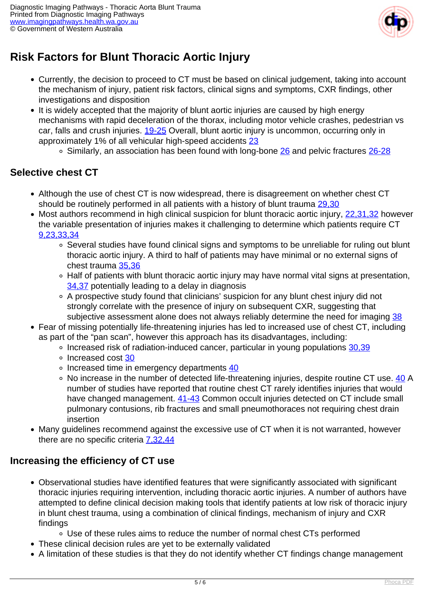

# **Risk Factors for Blunt Thoracic Aortic Injury**

- Currently, the decision to proceed to CT must be based on clinical judgement, taking into account the mechanism of injury, patient risk factors, clinical signs and symptoms, CXR findings, other investigations and disposition
- It is widely accepted that the majority of blunt aortic injuries are caused by high energy mechanisms with rapid deceleration of the thorax, including motor vehicle crashes, pedestrian vs car, falls and crush injuries. [19-25](index.php/imaging-pathways/musculoskeletal-trauma/trauma/blunt-traumatic-injury-of-thoracic-aorta?tab=references#19) Overall, blunt aortic injury is uncommon, occurring only in approximately 1% of all vehicular high-speed accidents [23](index.php/imaging-pathways/musculoskeletal-trauma/trauma/blunt-traumatic-injury-of-thoracic-aorta?tab=references#23)
	- $\circ$  Similarly, an association has been found with long-bone  $\frac{26}{2}$  $\frac{26}{2}$  $\frac{26}{2}$  and pelvic fractures  $\frac{26-28}{2}$  $\frac{26-28}{2}$  $\frac{26-28}{2}$

## **Selective chest CT**

- Although the use of chest CT is now widespread, there is disagreement on whether chest CT should be routinely performed in all patients with a history of blunt trauma [29,30](index.php/imaging-pathways/musculoskeletal-trauma/trauma/blunt-traumatic-injury-of-thoracic-aorta?tab=references#29)
- Most authors recommend in high clinical suspicion for blunt thoracic aortic injury, [22,31,32](index.php/imaging-pathways/musculoskeletal-trauma/trauma/blunt-traumatic-injury-of-thoracic-aorta?tab=references#22) however the variable presentation of injuries makes it challenging to determine which patients require CT [9,23,33,34](index.php/imaging-pathways/musculoskeletal-trauma/trauma/blunt-traumatic-injury-of-thoracic-aorta?tab=references#9)
	- Several studies have found clinical signs and symptoms to be unreliable for ruling out blunt thoracic aortic injury. A third to half of patients may have minimal or no external signs of chest trauma [35,36](index.php/imaging-pathways/musculoskeletal-trauma/trauma/blunt-traumatic-injury-of-thoracic-aorta?tab=references#35)
	- Half of patients with blunt thoracic aortic injury may have normal vital signs at presentation, [34,37](index.php/imaging-pathways/musculoskeletal-trauma/trauma/blunt-traumatic-injury-of-thoracic-aorta?tab=references#34) potentially leading to a delay in diagnosis
	- A prospective study found that clinicians' suspicion for any blunt chest injury did not strongly correlate with the presence of injury on subsequent CXR, suggesting that subjective assessment alone does not always reliably determine the need for imaging [38](index.php/imaging-pathways/musculoskeletal-trauma/trauma/blunt-traumatic-injury-of-thoracic-aorta?tab=references#38)
- Fear of missing potentially life-threatening injuries has led to increased use of chest CT, including as part of the "pan scan", however this approach has its disadvantages, including:
	- $\circ$  Increased risk of radiation-induced cancer, particular in young populations [30,39](index.php/imaging-pathways/musculoskeletal-trauma/trauma/blunt-traumatic-injury-of-thoracic-aorta?tab=references#30)
	- o Increased cost [30](index.php/imaging-pathways/musculoskeletal-trauma/trauma/blunt-traumatic-injury-of-thoracic-aorta?tab=references#30)
	- $\circ$  Increased time in emergency departments  $40$
	- No increase in the number of detected life-threatening injuries, despite routine CT use. [40](index.php/imaging-pathways/musculoskeletal-trauma/trauma/blunt-traumatic-injury-of-thoracic-aorta?tab=references#40) A number of studies have reported that routine chest CT rarely identifies injuries that would have changed management. [41-43](index.php/imaging-pathways/musculoskeletal-trauma/trauma/blunt-traumatic-injury-of-thoracic-aorta?tab=references#41) Common occult injuries detected on CT include small pulmonary contusions, rib fractures and small pneumothoraces not requiring chest drain insertion
- Many guidelines recommend against the excessive use of CT when it is not warranted, however there are no specific criteria [7,32,44](index.php/imaging-pathways/musculoskeletal-trauma/trauma/blunt-traumatic-injury-of-thoracic-aorta?tab=references#7)

## **Increasing the efficiency of CT use**

- Observational studies have identified features that were significantly associated with significant thoracic injuries requiring intervention, including thoracic aortic injuries. A number of authors have attempted to define clinical decision making tools that identify patients at low risk of thoracic injury in blunt chest trauma, using a combination of clinical findings, mechanism of injury and CXR findings
	- Use of these rules aims to reduce the number of normal chest CTs performed
- These clinical decision rules are yet to be externally validated
- A limitation of these studies is that they do not identify whether CT findings change management